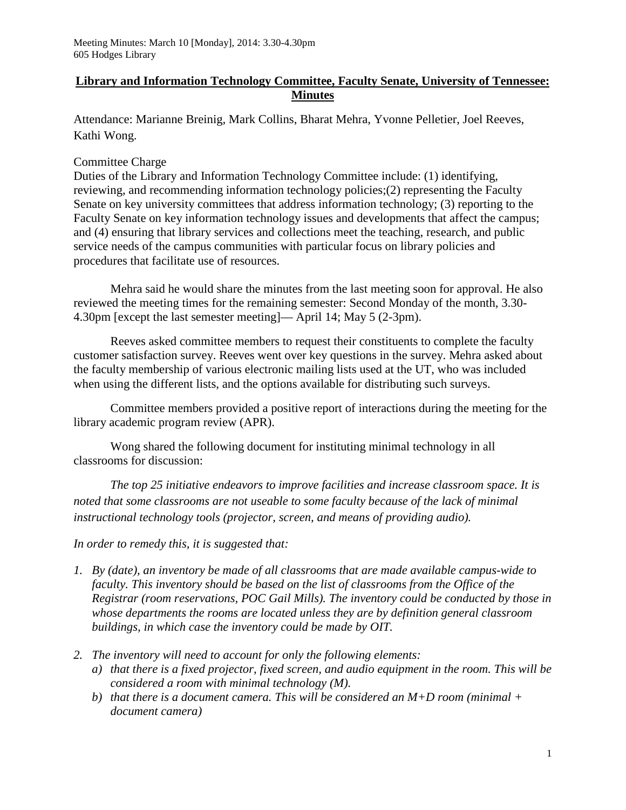## **Library and Information Technology Committee, Faculty Senate, University of Tennessee: Minutes**

Attendance: Marianne Breinig, Mark Collins, Bharat Mehra, Yvonne Pelletier, Joel Reeves, Kathi Wong.

## Committee Charge

Duties of the Library and Information Technology Committee include: (1) identifying, reviewing, and recommending information technology policies;(2) representing the Faculty Senate on key university committees that address information technology; (3) reporting to the Faculty Senate on key information technology issues and developments that affect the campus; and (4) ensuring that library services and collections meet the teaching, research, and public service needs of the campus communities with particular focus on library policies and procedures that facilitate use of resources.

Mehra said he would share the minutes from the last meeting soon for approval. He also reviewed the meeting times for the remaining semester: Second Monday of the month, 3.30- 4.30pm [except the last semester meeting]— April 14; May 5 (2-3pm).

Reeves asked committee members to request their constituents to complete the faculty customer satisfaction survey. Reeves went over key questions in the survey. Mehra asked about the faculty membership of various electronic mailing lists used at the UT, who was included when using the different lists, and the options available for distributing such surveys.

Committee members provided a positive report of interactions during the meeting for the library academic program review (APR).

Wong shared the following document for instituting minimal technology in all classrooms for discussion:

*The top 25 initiative endeavors to improve facilities and increase classroom space. It is noted that some classrooms are not useable to some faculty because of the lack of minimal instructional technology tools (projector, screen, and means of providing audio).* 

*In order to remedy this, it is suggested that:*

- *1. By (date), an inventory be made of all classrooms that are made available campus-wide to faculty. This inventory should be based on the list of classrooms from the Office of the Registrar (room reservations, POC Gail Mills). The inventory could be conducted by those in whose departments the rooms are located unless they are by definition general classroom buildings, in which case the inventory could be made by OIT.*
- *2. The inventory will need to account for only the following elements:*
	- *a) that there is a fixed projector, fixed screen, and audio equipment in the room. This will be considered a room with minimal technology (M).*
	- *b) that there is a document camera. This will be considered an M+D room (minimal + document camera)*